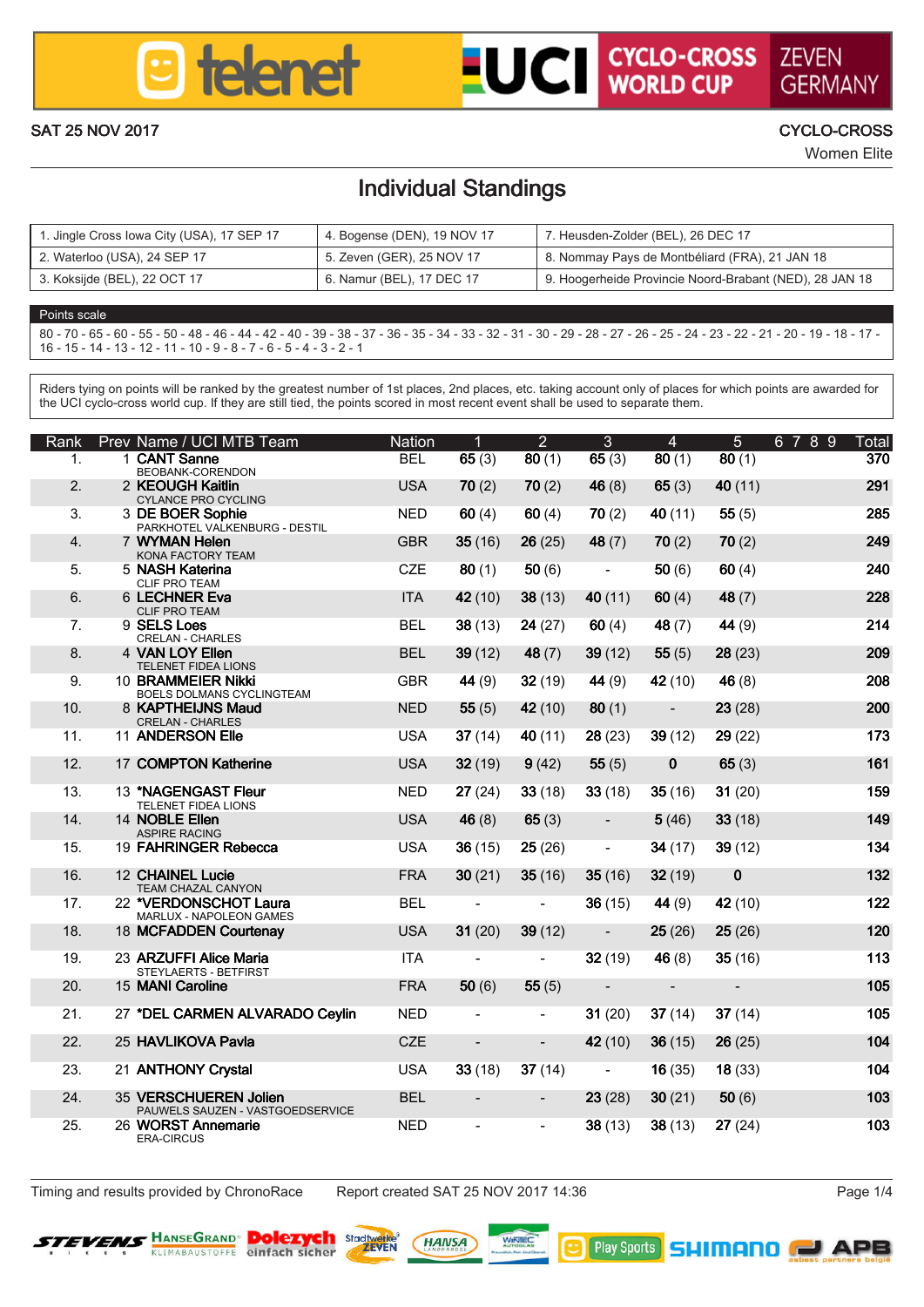

## **LUCI CYCLO-CROSS ZEVEN**

GERMAN SAT 25 NOV 2017 CYCLO-CROSS

Women Elite

### Individual Standings

| 1. Jingle Cross Iowa City (USA), 17 SEP 17 | 4. Bogense (DEN), 19 NOV 17 | 7. Heusden-Zolder (BEL), 26 DEC 17                      |
|--------------------------------------------|-----------------------------|---------------------------------------------------------|
| 2. Waterloo (USA), 24 SEP 17               | 5. Zeven (GER), 25 NOV 17   | 8. Nommay Pays de Montbéliard (FRA), 21 JAN 18          |
| 3. Kokailde (BEL), 22 OCT 17               | 6. Namur (BEL), 17 DEC 17   | 9. Hooperheide Provincie Noord-Brabant (NED), 28 JAN 18 |

### Points scale 80 - 70 - 65 - 60 - 55 - 50 - 48 - 46 - 44 - 42 - 40 - 39 - 38 - 37 - 36 - 35 - 34 - 33 - 32 - 31 - 30 - 29 - 28 - 27 - 26 - 25 - 24 - 23 - 22 - 21 - 20 - 19 - 18 - 17 - 16 - 15 - 14 - 13 - 12 - 11 - 10 - 9 - 8 - 7 - 6 - 5 - 4 - 3 - 2 - 1

Riders tying on points will be ranked by the greatest number of 1st places, 2nd places, etc. taking account only of places for which points are awarded for repara tyong on points will pe ranked by the greates number of its places, and peoples, est, taking account or<br>the UCI cupie cross world cup. If they can officient the solids execut in most record current shall be used to

| Rank                    |                                       | Prev Name / UCI MTB Team                                   | Nation     | п             | þ,      | я       | а                        | ĸ        | 6789<br>Total   |
|-------------------------|---------------------------------------|------------------------------------------------------------|------------|---------------|---------|---------|--------------------------|----------|-----------------|
| 1.                      | 1 CANT Rome                           | BECBANG CORENDOM                                           | <b>RFI</b> | 65 (3)        | 80 (1)  | 65(3)   | 80(1)                    | 80(1)    | 370             |
| $\overline{2}$          | 2 KECK KAH Kaltin                     | CYLANCE PRO CYCLING                                        | 1184       | 70 (2)        | 70 (2)  | 46 (8)  | 65(3)                    | 40 (11)  | 291             |
| $\overline{\mathbf{z}}$ | 3 DE BOER Sorbie                      | PARKHOTEL VALKENBURG - DESTIL                              | NFD        | 60 (4)        | 60(4)   | 70(2)   | 40 (11)                  | 65(5)    | 285             |
| $\overline{a}$          | 7 WASHINGTON                          |                                                            | GRR        | 35(16)        | 26 (25) | 48 (7)  | 70 (2)                   | 70(2)    | 249             |
| к.                      | 5 MARH Kalerina                       | KONA FACTORY TEAM                                          | CZE        | 80(1)         | 50 (6)  | ä,      | 50 (6)                   | 60(4)    | 240             |
| $\mathbf{a}$            | CLIE DOO TEAM<br><b>6 LECHNER PAG</b> |                                                            | <b>ITA</b> | 42 (10)       | 38 (13) | 40 (11) | 60 (4)                   | 48 (7)   | <b>228</b>      |
| 7.                      | CLIF PRO TEAM<br>9 SELSIONS           |                                                            | <b>RFI</b> | 38(13)        | 24 (27) | 60 (4)  | 48 (7)                   | 44 (9)   | 214             |
| R.                      | 4 VAN LOV Flien                       | CREI AN - CHARLES                                          | <b>RFI</b> | 39(12)        | 48 (7)  | 39 (12) | 55 (5)                   | 28 (23)  | 209             |
| ۰                       | 10 <b>RRAMMEIER MMN</b>               | TELEMET EIDEA LIONS                                        | GRR        | 44 (9)        | 32 (19) | 44 (9)  | 42 (10)                  | 46 (8)   | 20 <sub>R</sub> |
|                         |                                       | BOELS DOLMANS CYCLINGTEAM                                  |            |               |         |         |                          |          |                 |
| 10 <sup>1</sup>         |                                       | <b>R. KAPTHELING MAU</b><br>CRELAN - CHARLES               | <b>NFD</b> | <b>55(5)</b>  | 42 (10) | 80(1)   | ٠                        | 23 (28)  | 200             |
| 11                      | 11 ANDERSON FILE                      |                                                            | 1154       | 37(14)        | 40 (11) | 28 (23) | 39 (12)                  | 29 (22)  | 173             |
| 12 <sup>12</sup>        |                                       | 17 COMPTON Katherine                                       | 1184       | 32(19)        | 9(42)   | 55 (5)  | $\mathbf{a}$             | 65(3)    | 161             |
| 13 <sub>1</sub>         |                                       | 13 "NAGEMBART Floor<br>TELEMET EIDEA LIONS                 | <b>NFD</b> | 27(24)        | 33(18)  | 33 (18) | 35 (16)                  | 31 (20)  | 159             |
| 14                      | 14 NORLE Filen<br>ASSIDE BACING       |                                                            | 1184       | 46 (8)        | 65(3)   | ٠       | 5(46)                    | 33 (18)  | 149             |
| 15                      |                                       | 19 FAHRINGER Rehenro                                       | <b>IRA</b> | 36(15)        | 25(26)  | ä,      | 34 (17)                  | 39 (12)  | 124             |
| 16                      | 12 CHAINEL Lucie                      | TEAM CHAZAL CANYON                                         | <b>FRA</b> | 30(21)        | 35(16)  | 35 (16) | 32 (19)                  | $\bf{0}$ | 132             |
| 17                      |                                       | 22 VERDONSCHOT Laura<br>MARLIN - NADOLEON GAMES            | <b>RFI</b> | ٠             | ٠       | 36 (15) | 44 (9)                   | 42 (10)  | 122             |
| 18                      |                                       | 18 MCFADDEN Courtenay                                      | 1184       | 31(20)        | 39 (12) | ٠       | 25(26)                   | 25(26)   | 120             |
| 19                      |                                       | 23 ARZI IFFI Alice Maria<br>STEVI ADDTS , RETEIDST         | ITA.       | ٠             | ٠       | 32 (19) | 46 (8)                   | 35 (16)  | 113             |
| 20 <sub>1</sub>         | 15 MANI Camilne                       |                                                            | <b>FRA</b> | <b>50 (6)</b> | 66 (5)  | ٠       | $\overline{\phantom{a}}$ | ٠        | 105             |
| 21.                     |                                       | 27 TOEL CARMEN ALVARADO Cevin                              | NFD        | ٠             | ٠       | 31 (20) | 37(14)                   | 37(14)   | 105             |
| $\mathfrak{D}$          | 25 HAVLIKOVA PIWA                     |                                                            | CZE        | ٠             | ٠       | 42 (10) | 36(15)                   | 26 (25)  | 104             |
| 23                      | 21 ANTHONY Crystal                    |                                                            | 1154       | 33 (18)       | 37(14)  | ä,      | 16 (35)                  | 18 (33)  | 104             |
| 24                      |                                       | 35 VERSCHLIEREN Jolien<br>PAUWELS SAUZEN - VASTGOEDSERVICE | <b>RFI</b> | ٠             | ۰       | 23 (28) | 30(21)                   | 60(6)    | 103             |
| $25 -$                  | <b>ERA-CIRCUS</b>                     | 26 WORST Annemarie                                         | <b>NFD</b> | ٠             | ٠       | 38 (13) | 38 (13)                  | 27 (24)  | 103             |

The Timing and results provided by ChronoRace Report created SAT 25 NOV 2017 14:36



**Dolezych angelin (nausa)** www.

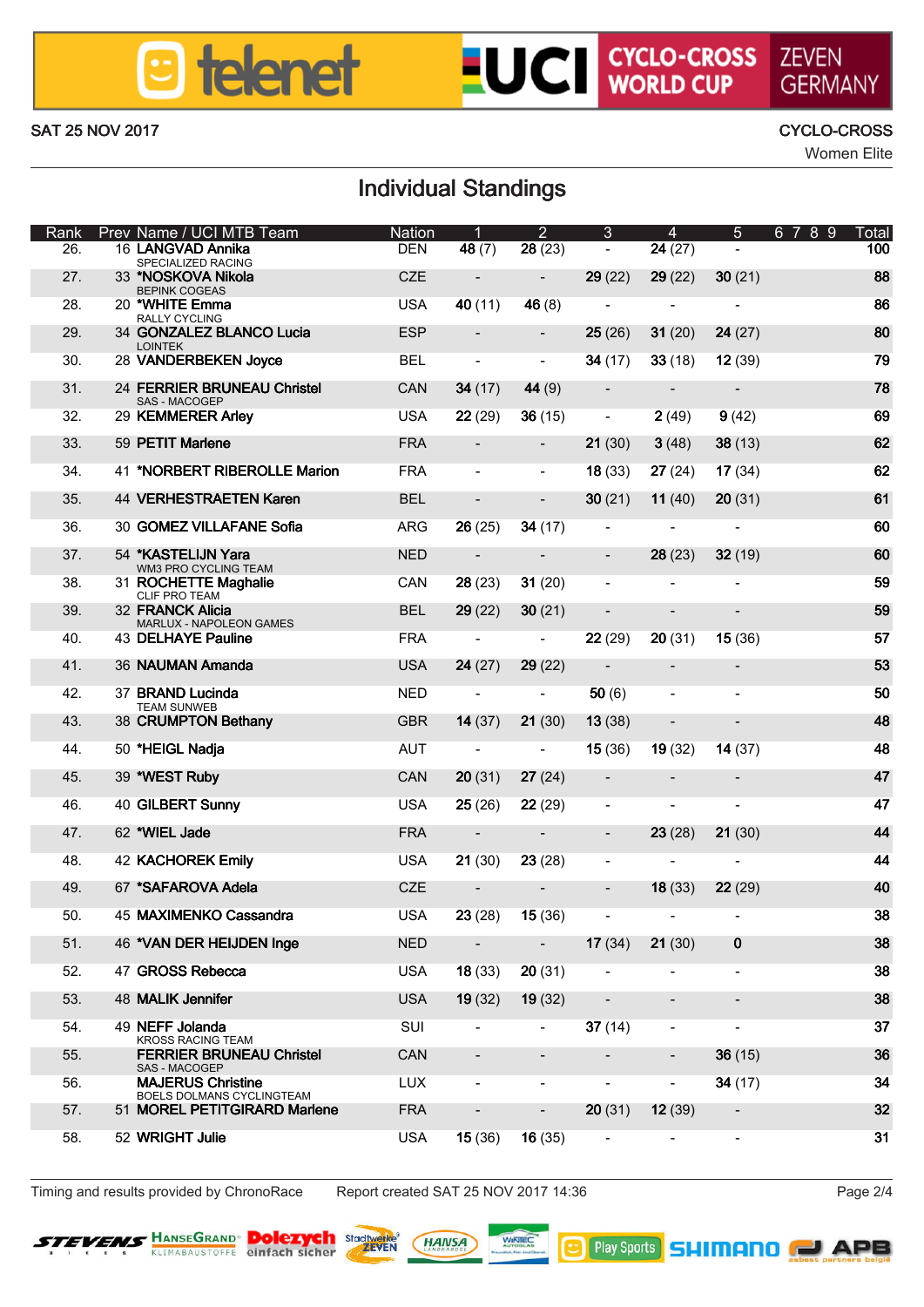### **B** telenet

# **LUCI CYCLO-CROSS ZEVEN**

### SAT 25 NOV 2017 CYCLO-CROSS

## GERMANN

Women Elite

### Individual Standings

| Rank |                 | Prev Name / UCI MTB Team                                  | Nation     | 1       | 2       | ٨       | А                        | к            | $\mathbf{R}$<br>$\mathbf{Q}$<br>67<br>Total |
|------|-----------------|-----------------------------------------------------------|------------|---------|---------|---------|--------------------------|--------------|---------------------------------------------|
|      | 26.             | 16   ANGWAD Anniba<br>SPECIALIZED RADNG                   | <b>DEN</b> | 48 (7)  | 28 (23) |         | 24(27)                   |              | 100                                         |
|      | 27              | 33 "NORKOVA Nikola<br>BEPINK COGEAS                       | CZE        | ٠       | ٠       | 29(22)  | 29(22)                   | 30(21)       | <b>RR</b>                                   |
|      | 28              | 20 WHITE Emma<br><b>RALLY CYCLING</b>                     | 1154       | 40 (11) | 46 (8)  | ٠       | ٠                        | i.           | <b>RR</b>                                   |
|      | 29              | 34 GONZALEZ BLANCO Lucia<br><b>LONTEK</b>                 | ESP        | ٠       | ٠       | 25 (26) | 31 (20)                  | 24 (27)      | 80                                          |
|      | 30 <sub>1</sub> | 28 VANDERBEKEN Joyce                                      | <b>RFI</b> | i.      | ٠       | 34 (17) | 33 (18)                  | 12(39)       | 79                                          |
|      | 31              | 24 FERRIER BRUNEAU Christel                               | CAN        | 34 (17) | 44 (9)  |         | $\overline{\phantom{a}}$ | ٠            | 78                                          |
|      | 32              | SAS - MACOGEP<br>29 KEMMERER Arley                        | <b>USA</b> | 22 (29) | 36(15)  | ٠       | 2(49)                    | 9(42)        | 69                                          |
|      | $\infty$        | 59 PETIT Marlene                                          | <b>FRA</b> |         |         | 21 (30) | 3(48)                    | 38 (13)      | 62                                          |
|      | 34.             | 41 WORBERT RIBEROLLE Marion                               | <b>FRA</b> | ٠       | ٠       | 18 (33) | 27(24)                   | 17(34)       | 62                                          |
|      | $25 -$          | 44 VERHESTRAFTEN Koren                                    | <b>RFI</b> | ٠       | ٠       | 30(21)  | 11 (40)                  | 20(31)       | 61                                          |
|      | 36              | 30 GOMEZ VILLAFANE Solia                                  | ARG        | 26 (25) | 34 (17) |         |                          | ä,           | 60                                          |
|      | 37.             | 54 KASTELLIN Yara                                         | <b>NED</b> |         |         |         | 28 (23)                  | 32(19)       | 60                                          |
|      | 38.             | WIN3 PRO CYCLING TEAM<br>31 ROCHETTE Maghalie             | CAN        | 28(23)  | 31 (20) | ٠       | ٠                        | i.           | 59                                          |
|      | 29              | CLIF PRO TEAM<br>32 FRANCK Alicia                         | <b>RFI</b> | 29(22)  | 30(21)  | ٠       |                          | ٠            | 59                                          |
|      | 40              | MARLUX - NAPOLEON GAMES<br><b>43 DELHAYE Pauline</b>      | <b>FRA</b> | ٠       | ٠       | 22 (29) | 20(31)                   | 15(36)       | K7                                          |
|      | 41              | 36 NAUMAN Amanda                                          | <b>USA</b> | 24 (27) | 29 (22) | ×,      | ٠                        | ٠            | 53                                          |
|      | 42              | 37 BRAND Lucinda                                          | NFD        |         |         |         |                          |              | 5D                                          |
|      | 43              | TEAM SUNNED                                               |            | ٠       | ٠       | 50 (6)  | ٠                        | ٠            | AR.                                         |
|      |                 | 38 CRUMPTON Betham                                        | GBR        | 14 (37) | 21(30)  | 13(38)  |                          |              |                                             |
|      | 44.             | 50 THEIGL Nadia                                           | AUT        | ٠       |         | 15(36)  | 19 (32)                  | 14 (37)      | 48                                          |
|      | 45              | 39 WEST Ruby                                              | CAN        | 20 (31) | 27 (24) | ٠       |                          | ٠            | 47                                          |
|      | 46              | 40 GILBERT Sunny                                          | 1154       | 25 (26) | 22(29)  | i.      | ٠                        | i.           | 47                                          |
|      | 47              | 62 WIFL Jode                                              | <b>FRA</b> |         |         |         | 23 (28)                  | 21(30)       | 44                                          |
|      | 48              | <b>42 KACHOREK Emily</b>                                  | 1154       | 21 (30) | 23 (28) | ٠       |                          | i.           | 44                                          |
|      | 49              | 67 "SAFAROVA Adele                                        | CZE        |         | ٠       | ٠       | 18 (33)                  | 22 (29)      | 40                                          |
|      | 50.             | 45 MAXIMENKO Cassandra                                    | <b>USA</b> | 23 (28) | 15(36)  | j,      | ×,                       |              | 38                                          |
|      | 51              | 46 VAN DER HELIDEN Inge                                   | <b>NED</b> | ٠       | ٠       | 17(34)  | 21 (30)                  | $\mathbf{o}$ | 38                                          |
|      | 52              | 47 GROSS Reherra                                          | 1154       | 18(33)  | 20 (31) | ٠       | ٠                        | ٠            | 38                                          |
|      | 53.             | 48 MALIK Jennifer                                         | <b>USA</b> | 19 (32) | 19 (32) |         |                          |              | 38                                          |
|      | 54.             | 49 NEFF Jolanda                                           | SUI        |         | ٠       | 37(14)  | ٠                        | ×,           | 37                                          |
|      | 55              | KROSS RACING TEAM<br><b>FERRIER BRUNEAU Christel</b>      | CAN        |         | ٠       | ٠       | ٠                        | 36 (15)      | 36                                          |
|      | 56              | SAS - MACOGEP<br><b>MAJERUS Christine</b>                 | <b>LUX</b> | i.      | ٠       | i.      | ٠                        | 34 (17)      | 24                                          |
|      | 57.             | BOELS DOLMANS CYCLINGTEAM<br>51 MOREL PETITGIRARD Mariana | <b>FRA</b> |         |         | 20(31)  | 12(39)                   |              | 32                                          |
|      | FR.             | 52 WRIGHT Julie                                           | <b>USA</b> | 15 (36) | 16(35)  |         |                          | i.           | 31                                          |

Timing and results provided by ChronoRace Report created SAT 25 NOV 2017 14:36 Page 2/4



**Dolezych asset (MAIISA)** 

**B** Pby Sparts **SHIMANO** 

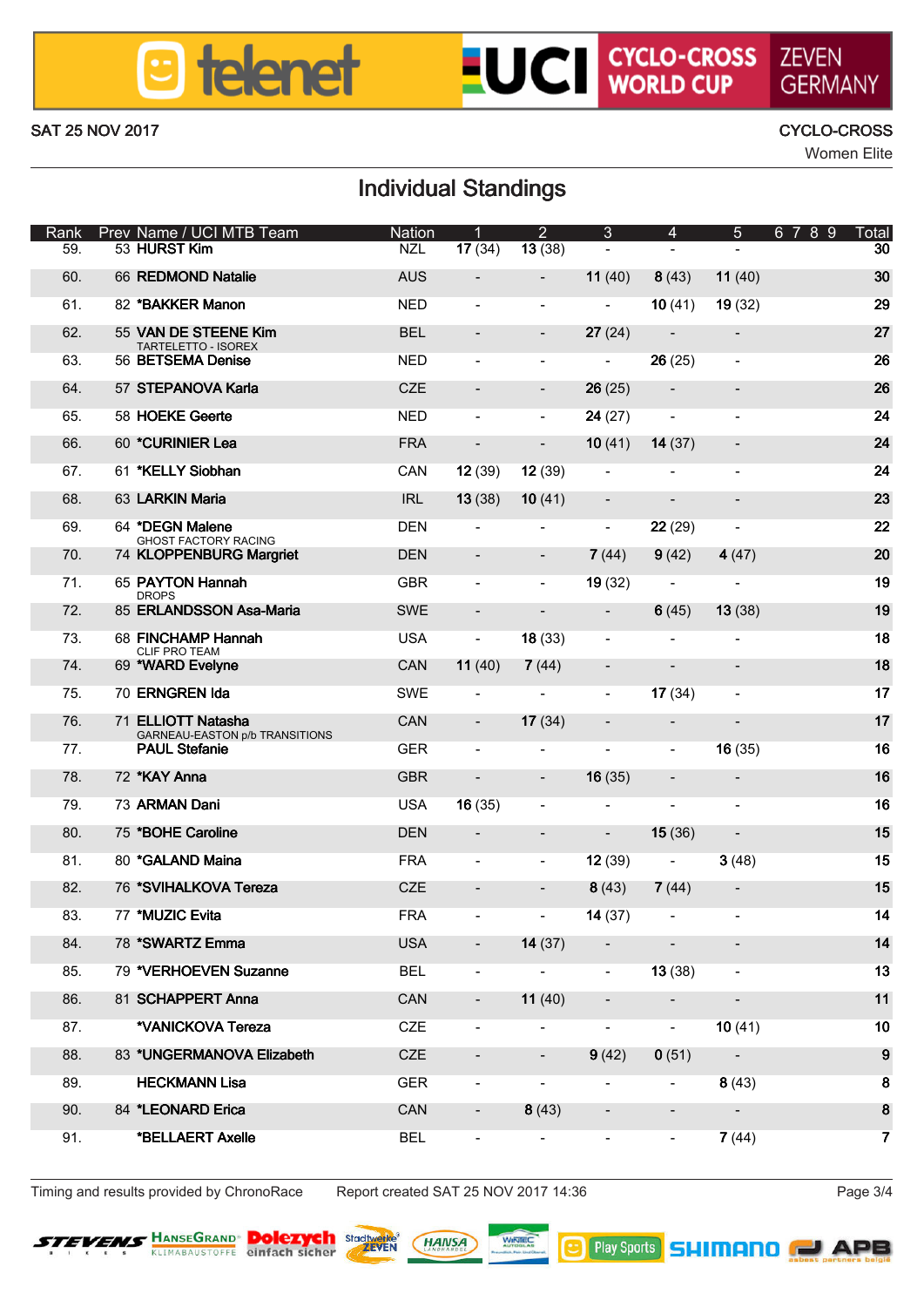### **B** telenet

# **LUCI CYCLO-CROSS ZEVEN**

GERMANN SAT 25 NOV 2017 CYCLO-CROSS

Women Elite

### Individual Standings

| Rank            | Prev Name / UCI MTB Team                           | Nation     | ٩       | $\overline{2}$ | 3       | А       | б       | 6789<br>Total    |
|-----------------|----------------------------------------------------|------------|---------|----------------|---------|---------|---------|------------------|
| RG.             | 53 HURST Kim                                       | N71        | 17(34)  | 13(38)         | ×,      | ٠       |         | $\overline{30}$  |
| FO.             | <b>66 REDMOND Notalie</b>                          | 4118       | ٠       | ٠              | 11 (40) | 8(43)   | 11 (40) | 30               |
| 61              | 82 "RAKICER Manon                                  | NFD        | ٠       | ٠              | i.      | 10(41)  | 19 (32) | 29               |
| 62              | 55 VAN DE STEENE Kim<br>TARTELETTO - ISOREX        | <b>RFI</b> | ٠       | ٠              | 27(24)  | ٠       | ٠       | 27               |
| 63.             | 56 BETSEMA Denise                                  | NED        | ٠       | ٠              | ä,      | 26(25)  | ä,      | 26               |
| FA              | 57 STEPANOVA Karla                                 | CZE        |         | ٠              | 26 (25) |         | ٠       | <b>26</b>        |
| 65              | 58 HOEKE Geerle                                    | <b>NFD</b> | ٠       | ٠              | 24 (27) | ٠       | ä,      | 24               |
| F6.             | 60 YOURINIER Lea                                   | <b>FRA</b> | ٠       | ٠              | 10(41)  | 14 (37) | ٠       | 24               |
| 67.             | 61 "KELLY Sichhan                                  | CAN        | 12(39)  | 12(39)         | i.      | ٠       | ä,      | 24               |
| RR.             | 63   ARICIN Moria                                  | IRI        | 13(38)  | 10(41)         |         | ٠       |         | 23               |
| 69              | <b>64 TXFGM Malene</b><br>GHOST EACTORY RACING     | <b>DEN</b> | ٠       | ٠              | í.      | 22 (29) | ä,      | $\boldsymbol{p}$ |
| 70 <sub>1</sub> | 74 KLOPPENBURG Margriet                            | <b>DEN</b> |         | ٠              | 7(44)   | 9(42)   | 4(47)   | 20               |
| 71.             | 65 PAYTON Hannah<br>nenes                          | GBR        | ٠       | ٠              | 19(32)  |         | ä,      | 19               |
| 72              | 85 ERLANDSSON Ass Maria                            | <b>SWF</b> | ٠       |                | ٠       | 6(45)   | 13(38)  | 19               |
| 73.             | 68 FINCHAMP Hannah<br>CLIE DOO TEAM                | <b>USA</b> | ٠       | 18(33)         | ä,      | ٠       | ä,      | 18               |
| 74.             | 69 WARD Evelyne                                    | CAN        | 11 (40) | 7(44)          | ٠       | ٠       | ٠       | 18               |
| 75              | <b>70 FRMGREN Ma</b>                               | SWE        | ٠       | ٠              | ×,      | 17(34)  | ä,      | 17               |
| 76              | 71 ELUOTT Natasha<br>GARNEAU-EASTON ob TRANSITIONS | CAN        | ٠       | 17(34)         | ٠       | ٠       | ٠       | 17               |
| 77              | <b>PAUL Stefanie</b>                               | GER        | J.      | J.             | í.      | ä,      | 16(35)  | 16               |
| 78              | 72 WAY Anno                                        | GRR        | ٠       | ٠              | 16(35)  | ٠       | ٠       | 16               |
| 79              | 73 ARMAN Dani                                      | 1154       | 16(35)  | ٠              | i.      | ٠       | ä,      | 16               |
| 801             | 75 TROHE Camina                                    | <b>DFN</b> | ٠       |                | ٠       | 15(36)  |         | 15               |
| 81              | 80 YOM AND Moing                                   | <b>FRA</b> | ×       | ä,             | 12 (39) | J.      | 3(48)   | 15               |
| 82              | <b>76 SMIHAI KOVA Tereza</b>                       | CZE        | ٠       | ٠              | 8(43)   | 7(44)   | ٠       | 15               |
| 83.             | 77 "MID'IC Fulls                                   | <b>FRA</b> | ٠       | ٠              | 14(37)  | ٠       | ä,      | 14               |
| R <sub>4</sub>  | 78 'SWARTZ Emma                                    | 1184       | ٠       | 14(37)         | ٠       | ٠       | ٠       | 14               |
| 85              | 79 VERHOEVEN Suzanne                               | <b>RFI</b> | ٠       | ٠              | ×,      | 13 (38) | ä,      | 13               |
| 86              | <b>81 SCHAPPERT Anna</b>                           | CAN        | ٠       | 11(40)         | ٠       | ٠       | ٠       | 11               |
| 87              | "VANICKIWA Tereza                                  | CZE        | ٠       | ٠              | i.      | ٠       | 10(41)  | 10               |
| 88              | 83 "UNGERMANOVA Elizabeth                          | CZE        |         | ٠              | 9(42)   | 0(51)   | ٠       | $\bullet$        |
| 89              | <b>HECKMANN I RA</b>                               | GER        | ٠       | ٠              | i.      | ٠       | 8(43)   | 8                |
| on.             | 84 "LEONARD Erica                                  | CAN        | i.      | 8(43)          | ٠       |         |         | 8                |
| 91              | THEI LAFRY Availa                                  | <b>RFI</b> | ٠       | ٠              | i.      | ٠       | 7(44)   | 7                |

Timing and results provided by ChronoRace Report created SAT 25 NOV 2017 14:36 Page 3/4



**Dolezych asset (MAIISA)**